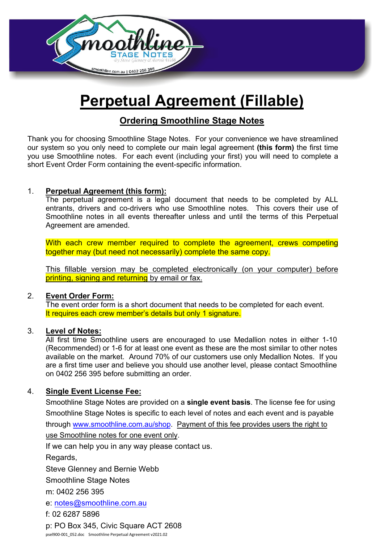

# **Perpetual Agreement (Fillable)**

# **Ordering Smoothline Stage Notes**

Thank you for choosing Smoothline Stage Notes. For your convenience we have streamlined our system so you only need to complete our main legal agreement **(this form)** the first time you use Smoothline notes. For each event (including your first) you will need to complete a short Event Order Form containing the event-specific information.

#### 1. **Perpetual Agreement (this form):**

The perpetual agreement is a legal document that needs to be completed by ALL entrants, drivers and co-drivers who use Smoothline notes. This covers their use of Smoothline notes in all events thereafter unless and until the terms of this Perpetual Agreement are amended.

With each crew member required to complete the agreement, crews competing together may (but need not necessarily) complete the same copy.

This fillable version may be completed electronically (on your computer) before printing, signing and returning by email or fax.

#### 2. **Event Order Form:**

The event order form is a short document that needs to be completed for each event. It requires each crew member's details but only 1 signature.

#### 3. **Level of Notes:**

All first time Smoothline users are encouraged to use Medallion notes in either 1-10 (Recommended) or 1-6 for at least one event as these are the most similar to other notes available on the market. Around 70% of our customers use only Medallion Notes. If you are a first time user and believe you should use another level, please contact Smoothline on 0402 256 395 before submitting an order.

#### 4. **Single Event License Fee:**

Smoothline Stage Notes are provided on a **single event basis**. The license fee for using Smoothline Stage Notes is specific to each level of notes and each event and is payable through [www.smoothline.com.au/shop.](http://www.smoothline.com.au/shop) Payment of this fee provides users the right to use Smoothline notes for one event only.

If we can help you in any way please contact us.

Regards,

Steve Glenney and Bernie Webb

Smoothline Stage Notes

m[: 0402 256 395](mailto:notes@smoothline.com.au)

e: notes@smoothline.com.au

f: 02 6287 5896

p: PO Box 345, Civic Square ACT 2608 psel900-001\_052.doc Smoothline Perpetual Agreement v2021.02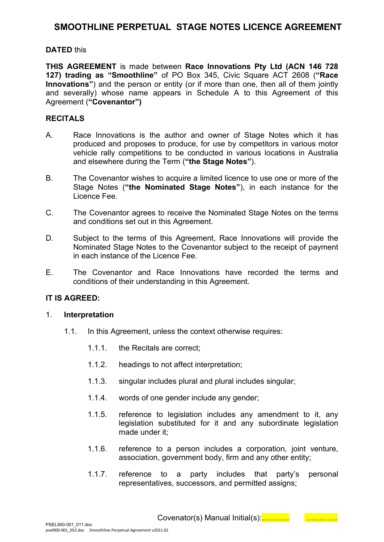### **SMOOTHLINE PERPETUAL STAGE NOTES LICENCE AGREEMENT**

#### **DATED** this

**THIS AGREEMENT** is made between **Race Innovations Pty Ltd (ACN 146 728 127) trading as "Smoothline"** of PO Box 345, Civic Square ACT 2608 (**"Race Innovations"**) and the person or entity (or if more than one, then all of them jointly and severally) whose name appears in Schedule A to this Agreement of this Agreement (**"Covenantor")**

#### **RECITALS**

- A. Race Innovations is the author and owner of Stage Notes which it has produced and proposes to produce, for use by competitors in various motor vehicle rally competitions to be conducted in various locations in Australia and elsewhere during the Term (**"the Stage Notes"**).
- B. The Covenantor wishes to acquire a limited licence to use one or more of the Stage Notes (**"the Nominated Stage Notes"**), in each instance for the Licence Fee.
- C. The Covenantor agrees to receive the Nominated Stage Notes on the terms and conditions set out in this Agreement.
- D. Subject to the terms of this Agreement, Race Innovations will provide the Nominated Stage Notes to the Covenantor subject to the receipt of payment in each instance of the Licence Fee.
- E. The Covenantor and Race Innovations have recorded the terms and conditions of their understanding in this Agreement.

#### **IT IS AGREED:**

#### 1. **Interpretation**

- 1.1. In this Agreement, unless the context otherwise requires:
	- 1.1.1. the Recitals are correct;
	- 1.1.2. headings to not affect interpretation;
	- 1.1.3. singular includes plural and plural includes singular;
	- 1.1.4. words of one gender include any gender;
	- 1.1.5. reference to legislation includes any amendment to it, any legislation substituted for it and any subordinate legislation made under it;
	- 1.1.6. reference to a person includes a corporation, joint venture, association, government body, firm and any other entity;
	- 1.1.7. reference to a party includes that party's personal representatives, successors, and permitted assigns;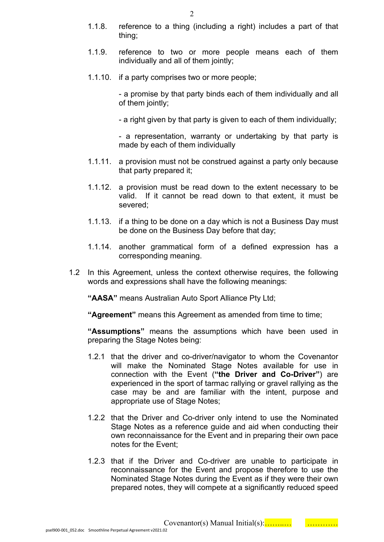- 1.1.8. reference to a thing (including a right) includes a part of that thing;
- 1.1.9. reference to two or more people means each of them individually and all of them jointly;
- 1.1.10. if a party comprises two or more people;

- a promise by that party binds each of them individually and all of them jointly;

- a right given by that party is given to each of them individually;

- a representation, warranty or undertaking by that party is made by each of them individually

- 1.1.11. a provision must not be construed against a party only because that party prepared it;
- 1.1.12. a provision must be read down to the extent necessary to be valid. If it cannot be read down to that extent, it must be severed;
- 1.1.13. if a thing to be done on a day which is not a Business Day must be done on the Business Day before that day;
- 1.1.14. another grammatical form of a defined expression has a corresponding meaning.
- 1.2 In this Agreement, unless the context otherwise requires, the following words and expressions shall have the following meanings:

**"AASA"** means Australian Auto Sport Alliance Pty Ltd;

"**Agreement**" means this Agreement as amended from time to time:

**"Assumptions"** means the assumptions which have been used in preparing the Stage Notes being:

- 1.2.1 that the driver and co-driver/navigator to whom the Covenantor will make the Nominated Stage Notes available for use in connection with the Event (**"the Driver and Co-Driver"**) are experienced in the sport of tarmac rallying or gravel rallying as the case may be and are familiar with the intent, purpose and appropriate use of Stage Notes;
- 1.2.2 that the Driver and Co-driver only intend to use the Nominated Stage Notes as a reference guide and aid when conducting their own reconnaissance for the Event and in preparing their own pace notes for the Event;
- 1.2.3 that if the Driver and Co-driver are unable to participate in reconnaissance for the Event and propose therefore to use the Nominated Stage Notes during the Event as if they were their own prepared notes, they will compete at a significantly reduced speed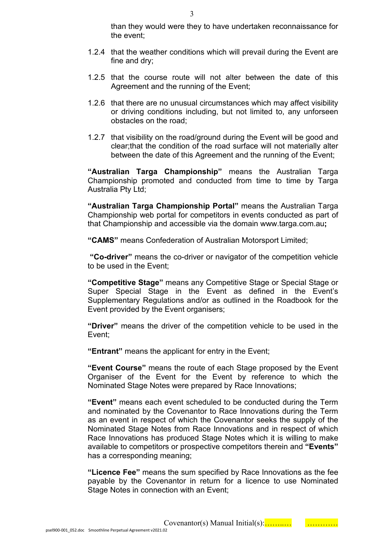than they would were they to have undertaken reconnaissance for the event;

- 1.2.4 that the weather conditions which will prevail during the Event are fine and dry;
- 1.2.5 that the course route will not alter between the date of this Agreement and the running of the Event;
- 1.2.6 that there are no unusual circumstances which may affect visibility or driving conditions including, but not limited to, any unforseen obstacles on the road;
- 1.2.7 that visibility on the road/ground during the Event will be good and clear;that the condition of the road surface will not materially alter between the date of this Agreement and the running of the Event;

**"Australian Targa Championship"** means the Australian Targa Championship promoted and conducted from time to time by Targa Australia Pty Ltd;

**"Australian Targa Championship Portal"** means the Australian Targa Championship web portal for competitors in events conducted as part of that Championship and accessible via the domain www.targa.com.au**;**

**"CAMS"** means Confederation of Australian Motorsport Limited;

 **"Co-driver"** means the co-driver or navigator of the competition vehicle to be used in the Event;

**"Competitive Stage"** means any Competitive Stage or Special Stage or Super Special Stage in the Event as defined in the Event's Supplementary Regulations and/or as outlined in the Roadbook for the Event provided by the Event organisers;

**"Driver"** means the driver of the competition vehicle to be used in the Event;

**"Entrant"** means the applicant for entry in the Event;

**"Event Course"** means the route of each Stage proposed by the Event Organiser of the Event for the Event by reference to which the Nominated Stage Notes were prepared by Race Innovations;

**"Event"** means each event scheduled to be conducted during the Term and nominated by the Covenantor to Race Innovations during the Term as an event in respect of which the Covenantor seeks the supply of the Nominated Stage Notes from Race Innovations and in respect of which Race Innovations has produced Stage Notes which it is willing to make available to competitors or prospective competitors therein and **"Events"** has a corresponding meaning;

**"Licence Fee"** means the sum specified by Race Innovations as the fee payable by the Covenantor in return for a licence to use Nominated Stage Notes in connection with an Event;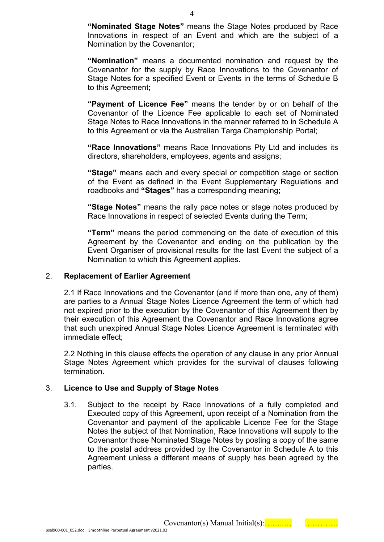**"Nominated Stage Notes"** means the Stage Notes produced by Race Innovations in respect of an Event and which are the subject of a Nomination by the Covenantor;

**"Nomination"** means a documented nomination and request by the Covenantor for the supply by Race Innovations to the Covenantor of Stage Notes for a specified Event or Events in the terms of Schedule B to this Agreement;

**"Payment of Licence Fee"** means the tender by or on behalf of the Covenantor of the Licence Fee applicable to each set of Nominated Stage Notes to Race Innovations in the manner referred to in Schedule A to this Agreement or via the Australian Targa Championship Portal:

**"Race Innovations"** means Race Innovations Pty Ltd and includes its directors, shareholders, employees, agents and assigns;

**"Stage"** means each and every special or competition stage or section of the Event as defined in the Event Supplementary Regulations and roadbooks and **"Stages"** has a corresponding meaning;

**"Stage Notes"** means the rally pace notes or stage notes produced by Race Innovations in respect of selected Events during the Term;

**"Term"** means the period commencing on the date of execution of this Agreement by the Covenantor and ending on the publication by the Event Organiser of provisional results for the last Event the subject of a Nomination to which this Agreement applies.

#### 2. **Replacement of Earlier Agreement**

2.1 If Race Innovations and the Covenantor (and if more than one, any of them) are parties to a Annual Stage Notes Licence Agreement the term of which had not expired prior to the execution by the Covenantor of this Agreement then by their execution of this Agreement the Covenantor and Race Innovations agree that such unexpired Annual Stage Notes Licence Agreement is terminated with immediate effect;

2.2 Nothing in this clause effects the operation of any clause in any prior Annual Stage Notes Agreement which provides for the survival of clauses following termination.

#### 3. **Licence to Use and Supply of Stage Notes**

3.1. Subject to the receipt by Race Innovations of a fully completed and Executed copy of this Agreement, upon receipt of a Nomination from the Covenantor and payment of the applicable Licence Fee for the Stage Notes the subject of that Nomination, Race Innovations will supply to the Covenantor those Nominated Stage Notes by posting a copy of the same to the postal address provided by the Covenantor in Schedule A to this Agreement unless a different means of supply has been agreed by the parties.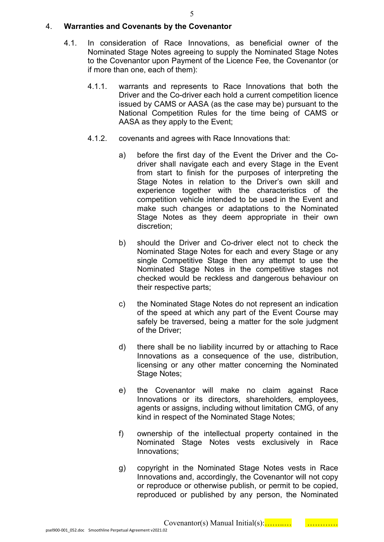#### 4. **Warranties and Covenants by the Covenantor**

- 4.1. In consideration of Race Innovations, as beneficial owner of the Nominated Stage Notes agreeing to supply the Nominated Stage Notes to the Covenantor upon Payment of the Licence Fee, the Covenantor (or if more than one, each of them):
	- 4.1.1. warrants and represents to Race Innovations that both the Driver and the Co-driver each hold a current competition licence issued by CAMS or AASA (as the case may be) pursuant to the National Competition Rules for the time being of CAMS or AASA as they apply to the Event;
	- 4.1.2. covenants and agrees with Race Innovations that:
		- a) before the first day of the Event the Driver and the Codriver shall navigate each and every Stage in the Event from start to finish for the purposes of interpreting the Stage Notes in relation to the Driver's own skill and experience together with the characteristics of the competition vehicle intended to be used in the Event and make such changes or adaptations to the Nominated Stage Notes as they deem appropriate in their own discretion;
		- b) should the Driver and Co-driver elect not to check the Nominated Stage Notes for each and every Stage or any single Competitive Stage then any attempt to use the Nominated Stage Notes in the competitive stages not checked would be reckless and dangerous behaviour on their respective parts;
		- c) the Nominated Stage Notes do not represent an indication of the speed at which any part of the Event Course may safely be traversed, being a matter for the sole judgment of the Driver;
		- d) there shall be no liability incurred by or attaching to Race Innovations as a consequence of the use, distribution, licensing or any other matter concerning the Nominated Stage Notes;
		- e) the Covenantor will make no claim against Race Innovations or its directors, shareholders, employees, agents or assigns, including without limitation CMG, of any kind in respect of the Nominated Stage Notes;
		- f) ownership of the intellectual property contained in the Nominated Stage Notes vests exclusively in Race Innovations;
		- g) copyright in the Nominated Stage Notes vests in Race Innovations and, accordingly, the Covenantor will not copy or reproduce or otherwise publish, or permit to be copied, reproduced or published by any person, the Nominated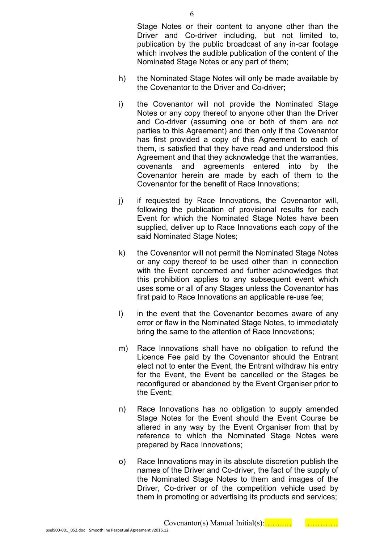Stage Notes or their content to anyone other than the Driver and Co-driver including, but not limited to, publication by the public broadcast of any in-car footage which involves the audible publication of the content of the Nominated Stage Notes or any part of them;

- h) the Nominated Stage Notes will only be made available by the Covenantor to the Driver and Co-driver;
- i) the Covenantor will not provide the Nominated Stage Notes or any copy thereof to anyone other than the Driver and Co-driver (assuming one or both of them are not parties to this Agreement) and then only if the Covenantor has first provided a copy of this Agreement to each of them, is satisfied that they have read and understood this Agreement and that they acknowledge that the warranties, covenants and agreements entered into by the Covenantor herein are made by each of them to the Covenantor for the benefit of Race Innovations;
- j) if requested by Race Innovations, the Covenantor will, following the publication of provisional results for each Event for which the Nominated Stage Notes have been supplied, deliver up to Race Innovations each copy of the said Nominated Stage Notes;
- k) the Covenantor will not permit the Nominated Stage Notes or any copy thereof to be used other than in connection with the Event concerned and further acknowledges that this prohibition applies to any subsequent event which uses some or all of any Stages unless the Covenantor has first paid to Race Innovations an applicable re-use fee;
- l) in the event that the Covenantor becomes aware of any error or flaw in the Nominated Stage Notes, to immediately bring the same to the attention of Race Innovations;
- m) Race Innovations shall have no obligation to refund the Licence Fee paid by the Covenantor should the Entrant elect not to enter the Event, the Entrant withdraw his entry for the Event, the Event be cancelled or the Stages be reconfigured or abandoned by the Event Organiser prior to the Event;
- n) Race Innovations has no obligation to supply amended Stage Notes for the Event should the Event Course be altered in any way by the Event Organiser from that by reference to which the Nominated Stage Notes were prepared by Race Innovations;
- o) Race Innovations may in its absolute discretion publish the names of the Driver and Co-driver, the fact of the supply of the Nominated Stage Notes to them and images of the Driver, Co-driver or of the competition vehicle used by them in promoting or advertising its products and services;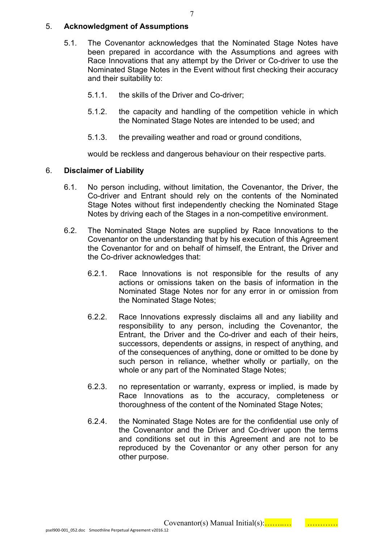#### 5. **Acknowledgment of Assumptions**

- 5.1. The Covenantor acknowledges that the Nominated Stage Notes have been prepared in accordance with the Assumptions and agrees with Race Innovations that any attempt by the Driver or Co-driver to use the Nominated Stage Notes in the Event without first checking their accuracy and their suitability to:
	- 5.1.1. the skills of the Driver and Co-driver;
	- 5.1.2. the capacity and handling of the competition vehicle in which the Nominated Stage Notes are intended to be used; and
	- 5.1.3. the prevailing weather and road or ground conditions,

would be reckless and dangerous behaviour on their respective parts.

#### 6. **Disclaimer of Liability**

- 6.1. No person including, without limitation, the Covenantor, the Driver, the Co-driver and Entrant should rely on the contents of the Nominated Stage Notes without first independently checking the Nominated Stage Notes by driving each of the Stages in a non-competitive environment.
- 6.2. The Nominated Stage Notes are supplied by Race Innovations to the Covenantor on the understanding that by his execution of this Agreement the Covenantor for and on behalf of himself, the Entrant, the Driver and the Co-driver acknowledges that:
	- 6.2.1. Race Innovations is not responsible for the results of any actions or omissions taken on the basis of information in the Nominated Stage Notes nor for any error in or omission from the Nominated Stage Notes;
	- 6.2.2. Race Innovations expressly disclaims all and any liability and responsibility to any person, including the Covenantor, the Entrant, the Driver and the Co-driver and each of their heirs, successors, dependents or assigns, in respect of anything, and of the consequences of anything, done or omitted to be done by such person in reliance, whether wholly or partially, on the whole or any part of the Nominated Stage Notes;
	- 6.2.3. no representation or warranty, express or implied, is made by Race Innovations as to the accuracy, completeness or thoroughness of the content of the Nominated Stage Notes;
	- 6.2.4. the Nominated Stage Notes are for the confidential use only of the Covenantor and the Driver and Co-driver upon the terms and conditions set out in this Agreement and are not to be reproduced by the Covenantor or any other person for any other purpose.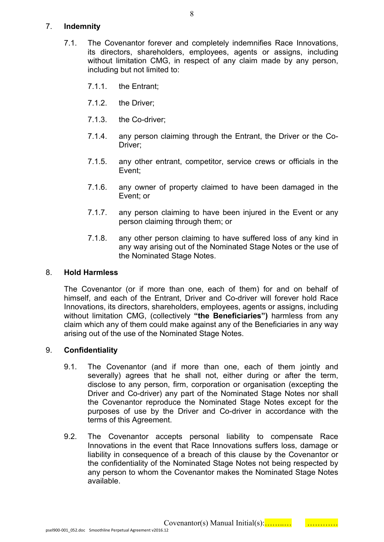#### 7. **Indemnity**

- 7.1. The Covenantor forever and completely indemnifies Race Innovations, its directors, shareholders, employees, agents or assigns, including without limitation CMG, in respect of any claim made by any person, including but not limited to:
	- 7.1.1. the Entrant;
	- 7.1.2. the Driver;
	- 7.1.3. the Co-driver;
	- 7.1.4. any person claiming through the Entrant, the Driver or the Co-Driver;
	- 7.1.5. any other entrant, competitor, service crews or officials in the Event;
	- 7.1.6. any owner of property claimed to have been damaged in the Event; or
	- 7.1.7. any person claiming to have been injured in the Event or any person claiming through them; or
	- 7.1.8. any other person claiming to have suffered loss of any kind in any way arising out of the Nominated Stage Notes or the use of the Nominated Stage Notes.

#### 8. **Hold Harmless**

The Covenantor (or if more than one, each of them) for and on behalf of himself, and each of the Entrant, Driver and Co-driver will forever hold Race Innovations, its directors, shareholders, employees, agents or assigns, including without limitation CMG, (collectively **"the Beneficiaries")** harmless from any claim which any of them could make against any of the Beneficiaries in any way arising out of the use of the Nominated Stage Notes.

#### 9. **Confidentiality**

- 9.1. The Covenantor (and if more than one, each of them jointly and severally) agrees that he shall not, either during or after the term, disclose to any person, firm, corporation or organisation (excepting the Driver and Co-driver) any part of the Nominated Stage Notes nor shall the Covenantor reproduce the Nominated Stage Notes except for the purposes of use by the Driver and Co-driver in accordance with the terms of this Agreement.
- 9.2. The Covenantor accepts personal liability to compensate Race Innovations in the event that Race Innovations suffers loss, damage or liability in consequence of a breach of this clause by the Covenantor or the confidentiality of the Nominated Stage Notes not being respected by any person to whom the Covenantor makes the Nominated Stage Notes available.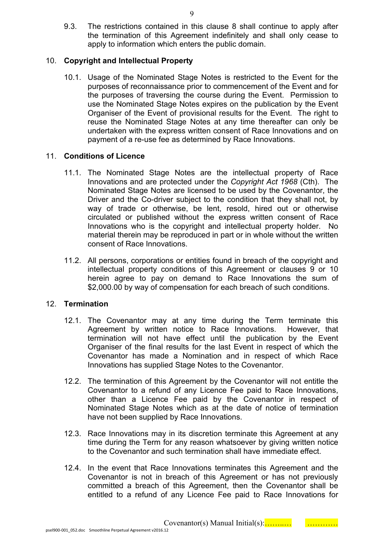9.3. The restrictions contained in this clause 8 shall continue to apply after the termination of this Agreement indefinitely and shall only cease to apply to information which enters the public domain.

#### 10. **Copyright and Intellectual Property**

10.1. Usage of the Nominated Stage Notes is restricted to the Event for the purposes of reconnaissance prior to commencement of the Event and for the purposes of traversing the course during the Event. Permission to use the Nominated Stage Notes expires on the publication by the Event Organiser of the Event of provisional results for the Event. The right to reuse the Nominated Stage Notes at any time thereafter can only be undertaken with the express written consent of Race Innovations and on payment of a re-use fee as determined by Race Innovations.

#### 11. **Conditions of Licence**

- 11.1. The Nominated Stage Notes are the intellectual property of Race Innovations and are protected under the *Copyright Act 1968* (Cth). The Nominated Stage Notes are licensed to be used by the Covenantor, the Driver and the Co-driver subject to the condition that they shall not, by way of trade or otherwise, be lent, resold, hired out or otherwise circulated or published without the express written consent of Race Innovations who is the copyright and intellectual property holder. No material therein may be reproduced in part or in whole without the written consent of Race Innovations.
- 11.2. All persons, corporations or entities found in breach of the copyright and intellectual property conditions of this Agreement or clauses 9 or 10 herein agree to pay on demand to Race Innovations the sum of \$2,000.00 by way of compensation for each breach of such conditions.

#### 12. **Termination**

- 12.1. The Covenantor may at any time during the Term terminate this Agreement by written notice to Race Innovations. However, that termination will not have effect until the publication by the Event Organiser of the final results for the last Event in respect of which the Covenantor has made a Nomination and in respect of which Race Innovations has supplied Stage Notes to the Covenantor.
- 12.2. The termination of this Agreement by the Covenantor will not entitle the Covenantor to a refund of any Licence Fee paid to Race Innovations, other than a Licence Fee paid by the Covenantor in respect of Nominated Stage Notes which as at the date of notice of termination have not been supplied by Race Innovations.
- 12.3. Race Innovations may in its discretion terminate this Agreement at any time during the Term for any reason whatsoever by giving written notice to the Covenantor and such termination shall have immediate effect.
- 12.4. In the event that Race Innovations terminates this Agreement and the Covenantor is not in breach of this Agreement or has not previously committed a breach of this Agreement, then the Covenantor shall be entitled to a refund of any Licence Fee paid to Race Innovations for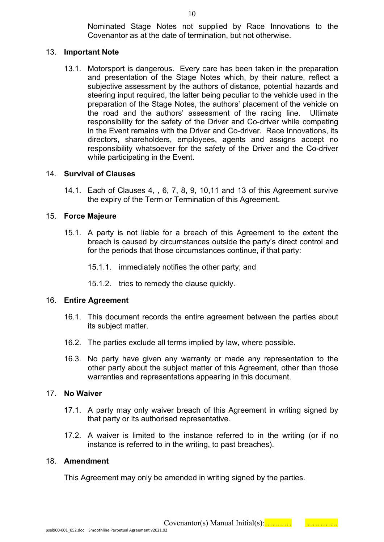Nominated Stage Notes not supplied by Race Innovations to the Covenantor as at the date of termination, but not otherwise.

#### 13. **Important Note**

13.1. Motorsport is dangerous. Every care has been taken in the preparation and presentation of the Stage Notes which, by their nature, reflect a subjective assessment by the authors of distance, potential hazards and steering input required, the latter being peculiar to the vehicle used in the preparation of the Stage Notes, the authors' placement of the vehicle on the road and the authors' assessment of the racing line. Ultimate responsibility for the safety of the Driver and Co-driver while competing in the Event remains with the Driver and Co-driver. Race Innovations, its directors, shareholders, employees, agents and assigns accept no responsibility whatsoever for the safety of the Driver and the Co-driver while participating in the Event.

#### 14. **Survival of Clauses**

14.1. Each of Clauses 4, , 6, 7, 8, 9, 10,11 and 13 of this Agreement survive the expiry of the Term or Termination of this Agreement.

#### 15. **Force Majeure**

- 15.1. A party is not liable for a breach of this Agreement to the extent the breach is caused by circumstances outside the party's direct control and for the periods that those circumstances continue, if that party:
	- 15.1.1. immediately notifies the other party; and
	- 15.1.2. tries to remedy the clause quickly.

#### 16. **Entire Agreement**

- 16.1. This document records the entire agreement between the parties about its subject matter.
- 16.2. The parties exclude all terms implied by law, where possible.
- 16.3. No party have given any warranty or made any representation to the other party about the subject matter of this Agreement, other than those warranties and representations appearing in this document.

#### 17. **No Waiver**

- 17.1. A party may only waiver breach of this Agreement in writing signed by that party or its authorised representative.
- 17.2. A waiver is limited to the instance referred to in the writing (or if no instance is referred to in the writing, to past breaches).

#### 18. **Amendment**

This Agreement may only be amended in writing signed by the parties.

10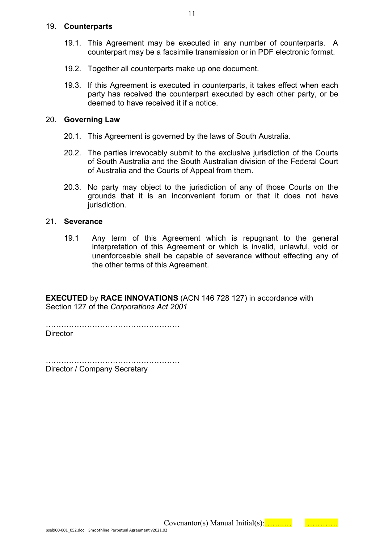#### 19. **Counterparts**

- 19.1. This Agreement may be executed in any number of counterparts. A counterpart may be a facsimile transmission or in PDF electronic format.
- 19.2. Together all counterparts make up one document.
- 19.3. If this Agreement is executed in counterparts, it takes effect when each party has received the counterpart executed by each other party, or be deemed to have received it if a notice.

#### 20. **Governing Law**

- 20.1. This Agreement is governed by the laws of South Australia.
- 20.2. The parties irrevocably submit to the exclusive jurisdiction of the Courts of South Australia and the South Australian division of the Federal Court of Australia and the Courts of Appeal from them.
- 20.3. No party may object to the jurisdiction of any of those Courts on the grounds that it is an inconvenient forum or that it does not have jurisdiction.

#### 21. **Severance**

19.1 Any term of this Agreement which is repugnant to the general interpretation of this Agreement or which is invalid, unlawful, void or unenforceable shall be capable of severance without effecting any of the other terms of this Agreement.

**EXECUTED** by **RACE INNOVATIONS** (ACN 146 728 127) in accordance with Section 127 of the *Corporations Act 2001*

…………………………………………….

**Director** 

…………………………………………………………… Director / Company Secretary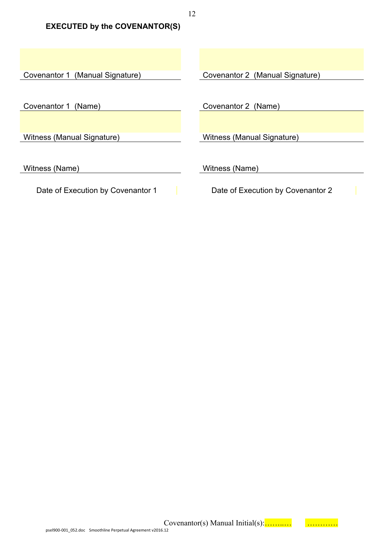**EXECUTED by the COVENANTOR(S)**

Covenantor 1 (Manual Signature) Covenantor 2 (Manual Signature) Covenantor 1 (Name) Covenantor 2 (Name) Witness (Manual Signature) Witness (Manual Signature) Witness (Name) Witness (Name) Date of Execution by Covenantor 1 Date of Execution by Covenantor 2

12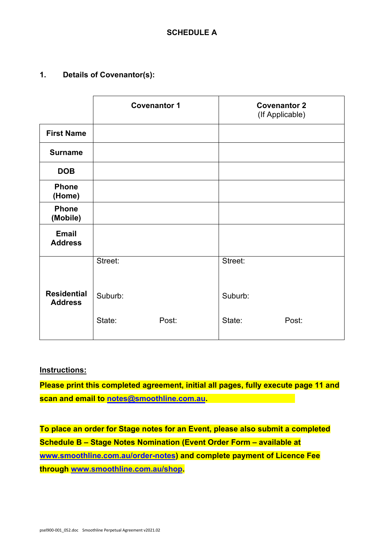**1. Details of Covenantor(s):**

|                                      | <b>Covenantor 1</b> |       | <b>Covenantor 2</b><br>(If Applicable) |       |
|--------------------------------------|---------------------|-------|----------------------------------------|-------|
| <b>First Name</b>                    |                     |       |                                        |       |
| <b>Surname</b>                       |                     |       |                                        |       |
| <b>DOB</b>                           |                     |       |                                        |       |
| <b>Phone</b><br>(Home)               |                     |       |                                        |       |
| <b>Phone</b><br>(Mobile)             |                     |       |                                        |       |
| <b>Email</b><br><b>Address</b>       |                     |       |                                        |       |
|                                      | Street:             |       | Street:                                |       |
| <b>Residential</b><br><b>Address</b> | Suburb:             |       | Suburb:                                |       |
|                                      | State:              | Post: | State:                                 | Post: |

#### **Instructions:**

**Please print this completed agreement, initial all pages, fully execute page 11 and scan and email to [notes@smoothline.com.au.](mailto:notes@smoothline.com.au)** 

**To place an order for Stage notes for an Event, please also submit a completed Schedule B – Stage Notes Nomination (Event Order Form – available at [www.smoothline.com.au/order-notes\)](http://www.smoothline.com.au/order-notes) and complete payment of Licence Fee through [www.smoothline.com.au/shop.](http://www.smoothline.com.au/shop)**